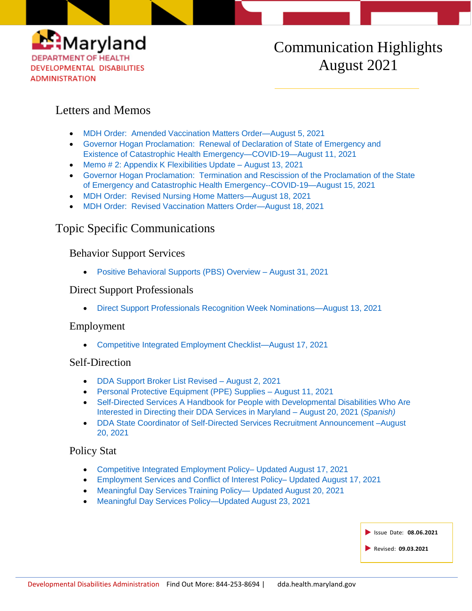

# Communication Highlights August 2021

### Letters and Memos

- [MDH Order: Amended Vaccination Matters Order—August 5, 2021](https://health.maryland.gov/dda/Documents/COVID%2019%20Documents/Memos%20Guidance/8.5.21/2021.08.05.01%20-%20MDH%20Order%20-%20Amended%20Vaccination%20Matters%20Order.pdf)
- [Governor Hogan Proclamation: Renewal of Declaration of State of Emergency and](https://health.maryland.gov/dda/Documents/COVID%2019%20Documents/Memos%20Guidance/8.12.21/2760_001.pdf.811%20Governor%20Hogan%27s%20Renewal%20of%20Declaration%20of%20State%20of%20Emergency%20and%20Existence%20of%20Catastrophic%20Health%20Emergency%20-%20COVID-19.pdf)  [Existence of Catastrophic Health Emergency—COVID-19—August 11, 2021](https://health.maryland.gov/dda/Documents/COVID%2019%20Documents/Memos%20Guidance/8.12.21/2760_001.pdf.811%20Governor%20Hogan%27s%20Renewal%20of%20Declaration%20of%20State%20of%20Emergency%20and%20Existence%20of%20Catastrophic%20Health%20Emergency%20-%20COVID-19.pdf)
- [Memo # 2: Appendix K Flexibilities Update –](https://files.constantcontact.com/f401fd14401/dcc34ea8-0038-433d-a4c4-139e9c82d577.pdf) August 13, 2021
- [Governor Hogan Proclamation: Termination and Rescission of the Proclamation](https://health.maryland.gov/dda/Documents/COVID%2019%20Documents/Memos%20Guidance/8.17.21/2763_001.pdf) of the State [of Emergency and Catastrophic Health Emergency--COVID-19—August 15, 2021](https://health.maryland.gov/dda/Documents/COVID%2019%20Documents/Memos%20Guidance/8.17.21/2763_001.pdf)
- [MDH Order: Revised Nursing Home Matters—August 18, 2021](https://health.maryland.gov/phpa/Documents/2021.08.018.02%20-%20MDH%20Order%20-%20Amended%20Nursing%20Home%20Matters%20Order.pdf)
- [MDH Order: Revised Vaccination Matters Order—August 18, 2021](https://health.maryland.gov/phpa/Documents/2021.08.018.01%20-%20MDH%20Order%20-%20Amended%20Vaccination%20Matters%20Order.pdf)

### Topic Specific Communications

#### Behavior Support Services

[Positive Behavioral Supports \(PBS\) Overview –](https://conta.cc/2WNzSQe) August 31, 2021

#### Direct Support Professionals

[Direct Support Professionals Recognition Week Nominations—August 13, 2021](https://conta.cc/2XKexHN)

#### Employment

[Competitive Integrated Employment Checklist—August 17, 2021](https://health.maryland.gov/dda/Documents/Coordination%20of%20Community%20Services/Coordinator%20Resources/8.23.21/DDA_CIEChecklist.2021.08.17.pdf)

#### Self-Direction

- [DDA Support Broker List Revised –](https://health.maryland.gov/dda/Documents/Self-Directed%20Services%20Guidance%2c%20Forms%2c%20and%2c%20Webinars/8.3.21/Support%20Broker%20List%20Updated%2008.2.2021.pdf) August 2, 2021
- [Personal Protective Equipment \(PPE\) Supplies –](https://conta.cc/3lYW9F4) August 11, 2021
- Self-Directed Services A Handbook for People with Developmental Disabilities Who Are [Interested in Directing their DDA Services in Maryland –](https://health.maryland.gov/dda/Documents/Self-Directed%20Services%20Guidance%2c%20Forms%2c%20and%2c%20Webinars/9.2.21/DDA%20Self%20Directed%20Services%20Handbook%20Final%20August%2020%202021%20-%20Spanish%20translation.pdf) August 20, 2021 (*Spanish)*
- [DDA State Coordinator of Self-Directed Services Recruitment Announcement –August](https://conta.cc/3CWLS2a)  [20, 2021](https://conta.cc/3CWLS2a)

#### Policy Stat

- [Competitive Integrated Employment Policy–](https://dhmh.policystat.com/policy/10231669/latest/) Updated August 17, 2021
- [Employment Services and Conflict of Interest Policy–](https://dhmh.policystat.com/policy/10231670/latest/) Updated August 17, 2021
- [Meaningful Day Services Training Policy—](https://dhmh.policystat.com/policy/10231671/latest/) Updated August 20, 2021
- [Meaningful Day Services Policy—Updated August 23, 2021](https://dhmh.policystat.com/?lt=FGOOt-k9bPID7nabPPUk8c&next=%2Fpolicy%2F10231680%2Flatest%2F)

| Issue Date: 08.06.2021 |
|------------------------|
| Revised: 09.03.2021    |